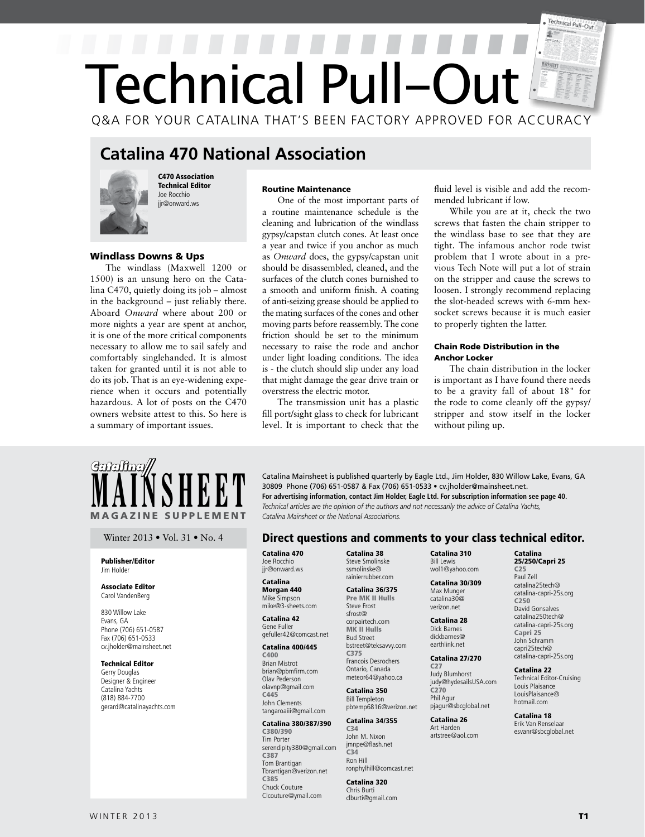## Technical Pull-Out Ð Technical Pull-Out Q&A FOR YOUR CATALINA THAT'S BEEN FACTORY APPROVED FOR ACCURACY

## **Catalina 470 National Association**



Windlass Downs & Ups

C470 Association Technical Editor Joe Rocchio jir@onward.ws

The windlass (Maxwell 1200 or 1500) is an unsung hero on the Catalina C470, quietly doing its job – almost in the background – just reliably there. Aboard *Onward* where about 200 or more nights a year are spent at anchor, it is one of the more critical components necessary to allow me to sail safely and comfortably singlehanded. It is almost taken for granted until it is not able to do its job. That is an eye-widening experience when it occurs and potentially hazardous. A lot of posts on the C470 owners website attest to this. So here is a summary of important issues.

#### Routine Maintenance

a routine maintenance schedule is the cleaning and lubrication of the windlass gypsy/capstan clutch cones. At least once a year and twice if you anchor as much as *Onward* does, the gypsy/capstan unit should be disassembled, cleaned, and the surfaces of the clutch cones burnished to a smooth and uniform finish. A coating of anti-seizing grease should be applied to the mating surfaces of the cones and other moving parts before reassembly. The cone friction should be set to the minimum necessary to raise the rode and anchor under light loading conditions. The idea is - the clutch should slip under any load that might damage the gear drive train or overstress the electric motor.

One of the most important parts of

The transmission unit has a plastic fill port/sight glass to check for lubricant level. It is important to check that the fluid level is visible and add the recommended lubricant if low.

While you are at it, check the two screws that fasten the chain stripper to the windlass base to see that they are tight. The infamous anchor rode twist problem that I wrote about in a previous Tech Note will put a lot of strain on the stripper and cause the screws to loosen. I strongly recommend replacing the slot-headed screws with 6-mm hexsocket screws because it is much easier to properly tighten the latter.

#### Chain Rode Distribution in the Anchor Locker

The chain distribution in the locker is important as I have found there needs to be a gravity fall of about 18" for the rode to come cleanly off the gypsy/ stripper and stow itself in the locker without piling up.

# MAGAZINE SUPPLEMENT

#### Publisher/Editor Jim Holder

#### Associate Editor Carol VandenBerg

830 Willow Lake Evans, GA Phone (706) 651-0587 Fax (706) 651-0533 cv.jholder@mainsheet.net

#### Technical Editor

Gerry Douglas Designer & Engineer Catalina Yachts (818) 884-7700 gerard@catalinayachts.com

**MAINSHEET** Catalina Mainsheet is published quarterly by Eagle Ltd., Jim Holder, 830 Willow Lake, Evans, GA<br>For advertising information, contact Jim Holder, Eagle Ltd. For subscription information see page 40.<br>Technical ar 30809 Phone (706) 651-0587 & Fax (706) 651-0533 • cv.jholder@mainsheet.net. **For advertising information, contact Jim Holder, Eagle Ltd. For subscription information see page 40.** *Technical articles are the opinion of the authors and not necessarily the advice of Catalina Yachts, Catalina Mainsheet or the National Associations.* 

#### Winter 2013 • Vol. 31 • No. 4 **Direct questions and comments to your class technical editor.**

Catalina 470 Joe Rocchio jir@onward.ws

#### Catalina Morgan 440 Mike Simpson mike@3-sheets.com

Catalina 42 Gene Fuller gefuller42@comcast.net

#### Catalina 400/445

C400 Brian Mistrot brian@pbmfirm.com Olav Pederson olavnp@gmail.com C445 John Clements tangaroaiii@gmail.com

#### Catalina 380/387/390

C380/390 Tim Porter serendipity380@gmail.com C387 Tom Brantigan Tbrantigan@verizon.net C385 Chuck Couture Clcouture@ymail.com

Catalina 38 Steve Smolinske ssmolinske@ rainierrubber.com

#### Catalina 36/375 Pre MK II Hulls Steve Frost sfrost@ corpairtech.com

MK II Hulls Bud Street bstreet@teksavvy.com C375 Francois Desrochers Ontario, Canada meteor64@yahoo.ca

#### Catalina 350 Bill Templeton pbtemp6816@verizon.net

Catalina 34/355

C34 John M. Nixon jmnpe@flash.net C34 Ron Hill ronphylhill@comcast.net

### Catalina 320

Chris Burti clburti@gmail.com Catalina 310 Bill Lewis wol1@yahoo.com

#### Catalina 30/309 Max Munger catalina30@ verizon.net

Catalina 28 Dick Barnes dickbarnes@ earthlink.net

#### Catalina 27/270 C27

Judy Blumhorst judy@hydesailsUSA.com C270 Phil Agur pjagur@sbcglobal.net

Catalina 26 Art Harden artstree@aol.com

#### Catalina 25/250/Capri 25

C25 Paul Zell catalina25tech@ catalina-capri-25s.org C250 David Gonsalves catalina250tech@ catalina-capri-25s.org Capri 25 John Schramm capri25tech@ catalina-capri-25s.org

#### Catalina 22 Technical Editor-Cruising Louis Plaisance LouisPlaisance@ hotmail.com

Catalina 18 Erik Van Renselaar esvanr@sbcglobal.net